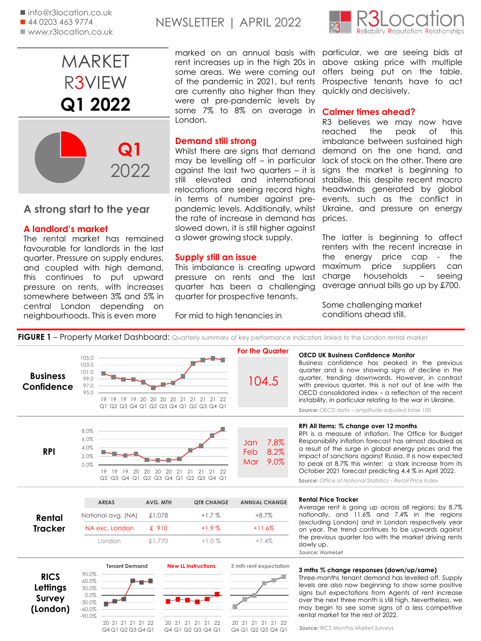

# **A strong start to the year**

# **A landlord's market**

The rental market has remained favourable for landlords in the last quarter. Pressure on supply endures, and coupled with high demand, this continues to put upward pressure on rents, with increases somewhere between 3% and 5% in central London depending on neighbourhoods. This is even more

# NEWSLETTER | APRIL 2022

marked on an annual basis with rent increases up in the high 20s in some areas. We were coming out of the pandemic in 2021, but rents are currently also higher than they were at pre-pandemic levels by some 7% to 8% on average in London.

## **Demand still strong**

Whilst there are signs that demand may be levelling off – in particular against the last two quarters – it is still elevated and international relocations are seeing record highs in terms of number against prepandemic levels. Additionally, whilst the rate of increase in demand has slowed down, it is still higher against a slower growing stock supply.

### **Supply still an issue**

This imbalance is creating upward pressure on rents and the last quarter has been a challenging quarter for prospective tenants.

For mid to high tenancies in



particular, we are seeing bids at above asking price with multiple offers being put on the table. Prospective tenants have to act quickly and decisively.

### **Calmer times ahead?**

R3 believes we may now have reached the peak of this imbalance between sustained high demand on the one hand, and lack of stock on the other. There are signs the market is beginning to stabilise, this despite recent macro headwinds generated by global events, such as the conflict in Ukraine, and pressure on energy prices.

The latter is beginning to affect renters with the recent increase in the energy price cap - the maximum price suppliers can charge households – seeing average annual bills go up by £700.

Some challenging market conditions ahead still.

FIGURE 1 - Property Market Dashboard: Quarterly summary of key performance indicators linked to the London rental market